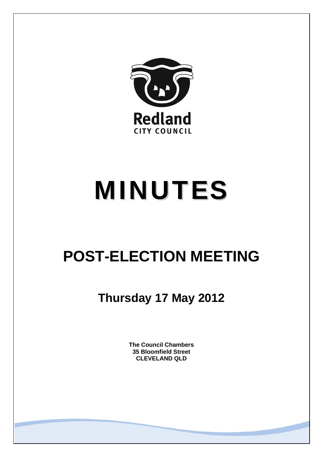

# MINUTES

# **POST-ELECTION MEETING**

**Thursday 17 May 2012** 

**The Council Chambers 35 Bloomfield Street CLEVELAND QLD**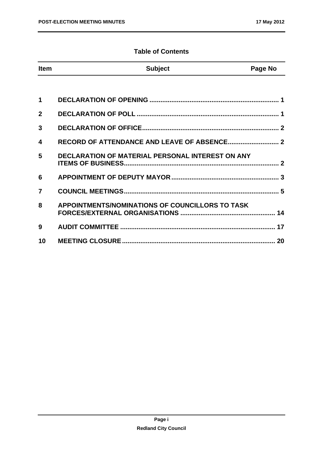# **Table of Contents**

| <b>Item</b>    | <b>Subject</b>                                          | Page No |
|----------------|---------------------------------------------------------|---------|
|                |                                                         |         |
| 1              |                                                         |         |
| $\mathbf{2}$   |                                                         |         |
| 3              |                                                         |         |
| 4              |                                                         |         |
| 5              | <b>DECLARATION OF MATERIAL PERSONAL INTEREST ON ANY</b> |         |
| 6              |                                                         |         |
| $\overline{7}$ |                                                         |         |
| 8              | APPOINTMENTS/NOMINATIONS OF COUNCILLORS TO TASK         |         |
| 9              |                                                         |         |
| 10             |                                                         |         |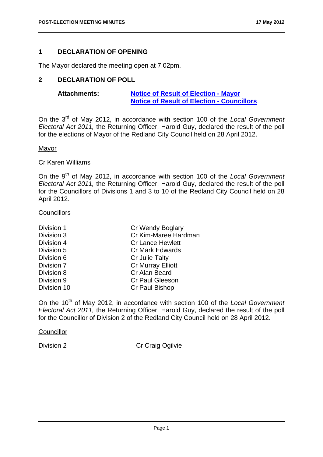# **1 DECLARATION OF OPENING**

The Mayor declared the meeting open at 7.02pm.

# **2 DECLARATION OF POLL**

| <b>Attachments:</b> | <b>Notice of Result of Election - Mayor</b>       |  |
|---------------------|---------------------------------------------------|--|
|                     | <b>Notice of Result of Election - Councillors</b> |  |

On the 3rd of May 2012, in accordance with section 100 of the *Local Government Electoral Act 2011,* the Returning Officer, Harold Guy, declared the result of the poll for the elections of Mayor of the Redland City Council held on 28 April 2012.

#### Mayor

#### Cr Karen Williams

On the 9th of May 2012, in accordance with section 100 of the *Local Government Electoral Act 2011,* the Returning Officer, Harold Guy, declared the result of the poll for the Councillors of Divisions 1 and 3 to 10 of the Redland City Council held on 28 April 2012.

#### **Councillors**

| Division 1  | Cr Wendy Boglary         |
|-------------|--------------------------|
| Division 3  | Cr Kim-Maree Hardman     |
| Division 4  | <b>Cr Lance Hewlett</b>  |
| Division 5  | <b>Cr Mark Edwards</b>   |
| Division 6  | Cr Julie Talty           |
| Division 7  | <b>Cr Murray Elliott</b> |
| Division 8  | Cr Alan Beard            |
| Division 9  | <b>Cr Paul Gleeson</b>   |
| Division 10 | Cr Paul Bishop           |

On the 10th of May 2012, in accordance with section 100 of the *Local Government Electoral Act 2011,* the Returning Officer, Harold Guy, declared the result of the poll for the Councillor of Division 2 of the Redland City Council held on 28 April 2012.

#### **Councillor**

Division 2 Cr Craig Ogilvie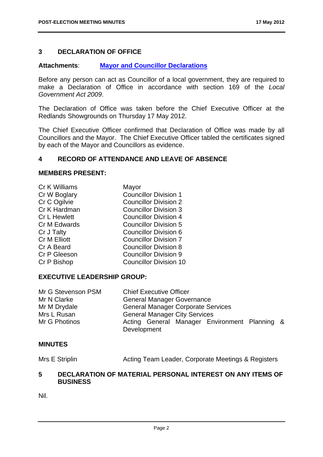# **3 DECLARATION OF OFFICE**

# **Attachments**: **Mayor and Councillor Declarations**

Before any person can act as Councillor of a local government, they are required to make a Declaration of Office in accordance with section 169 of the *Local Government Act 2009*.

The Declaration of Office was taken before the Chief Executive Officer at the Redlands Showgrounds on Thursday 17 May 2012.

The Chief Executive Officer confirmed that Declaration of Office was made by all Councillors and the Mayor. The Chief Executive Officer tabled the certificates signed by each of the Mayor and Councillors as evidence.

# **4 RECORD OF ATTENDANCE AND LEAVE OF ABSENCE**

#### **MEMBERS PRESENT:**

| Cr K Williams       | Mayor                         |
|---------------------|-------------------------------|
| Cr W Boglary        | <b>Councillor Division 1</b>  |
| Cr C Ogilvie        | <b>Councillor Division 2</b>  |
| Cr K Hardman        | <b>Councillor Division 3</b>  |
| <b>Cr L Hewlett</b> | <b>Councillor Division 4</b>  |
| Cr M Edwards        | <b>Councillor Division 5</b>  |
| Cr J Talty          | <b>Councillor Division 6</b>  |
| <b>Cr M Elliott</b> | <b>Councillor Division 7</b>  |
| Cr A Beard          | <b>Councillor Division 8</b>  |
| Cr P Gleeson        | <b>Councillor Division 9</b>  |
| Cr P Bishop         | <b>Councillor Division 10</b> |

# **EXECUTIVE LEADERSHIP GROUP:**

| Mr G Stevenson PSM | <b>Chief Executive Officer</b>                               |  |
|--------------------|--------------------------------------------------------------|--|
| Mr N Clarke        | <b>General Manager Governance</b>                            |  |
| Mr M Drydale       | <b>General Manager Corporate Services</b>                    |  |
| Mrs L Rusan        | <b>General Manager City Services</b>                         |  |
| Mr G Photinos      | Acting General Manager Environment Planning &<br>Development |  |
|                    |                                                              |  |

# **MINUTES**

Mrs E Striplin **Acting Team Leader, Corporate Meetings & Registers** 

# **5 DECLARATION OF MATERIAL PERSONAL INTEREST ON ANY ITEMS OF BUSINESS**

Nil.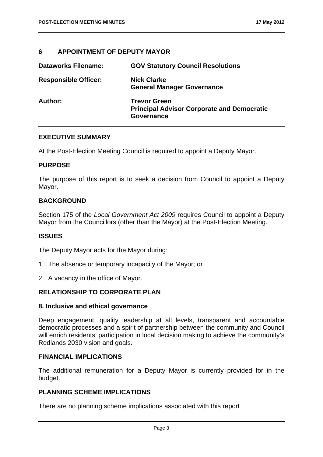# **6 APPOINTMENT OF DEPUTY MAYOR**

| <b>Dataworks Filename:</b>  | <b>GOV Statutory Council Resolutions</b>                                               |
|-----------------------------|----------------------------------------------------------------------------------------|
| <b>Responsible Officer:</b> | <b>Nick Clarke</b><br><b>General Manager Governance</b>                                |
| Author:                     | <b>Trevor Green</b><br><b>Principal Advisor Corporate and Democratic</b><br>Governance |

#### **EXECUTIVE SUMMARY**

At the Post-Election Meeting Council is required to appoint a Deputy Mayor.

#### **PURPOSE**

The purpose of this report is to seek a decision from Council to appoint a Deputy Mayor.

# **BACKGROUND**

Section 175 of the *Local Government Act 2009* requires Council to appoint a Deputy Mayor from the Councillors (other than the Mayor) at the Post-Election Meeting.

# **ISSUES**

The Deputy Mayor acts for the Mayor during:

- 1. The absence or temporary incapacity of the Mayor; or
- 2. A vacancy in the office of Mayor.

# **RELATIONSHIP TO CORPORATE PLAN**

#### **8. Inclusive and ethical governance**

Deep engagement, quality leadership at all levels, transparent and accountable democratic processes and a spirit of partnership between the community and Council will enrich residents' participation in local decision making to achieve the community's Redlands 2030 vision and goals.

#### **FINANCIAL IMPLICATIONS**

The additional remuneration for a Deputy Mayor is currently provided for in the budget.

# **PLANNING SCHEME IMPLICATIONS**

There are no planning scheme implications associated with this report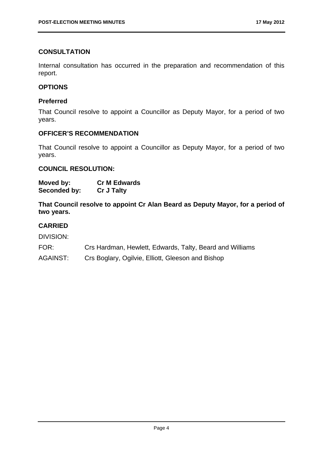# **CONSULTATION**

Internal consultation has occurred in the preparation and recommendation of this report.

# **OPTIONS**

# **Preferred**

That Council resolve to appoint a Councillor as Deputy Mayor, for a period of two years.

#### **OFFICER'S RECOMMENDATION**

That Council resolve to appoint a Councillor as Deputy Mayor, for a period of two years.

#### **COUNCIL RESOLUTION:**

| Moved by:    | <b>Cr M Edwards</b> |
|--------------|---------------------|
| Seconded by: | <b>Cr J Talty</b>   |

**That Council resolve to appoint Cr Alan Beard as Deputy Mayor, for a period of two years.** 

# **CARRIED**

- FOR: Crs Hardman, Hewlett, Edwards, Talty, Beard and Williams
- AGAINST: Crs Boglary, Ogilvie, Elliott, Gleeson and Bishop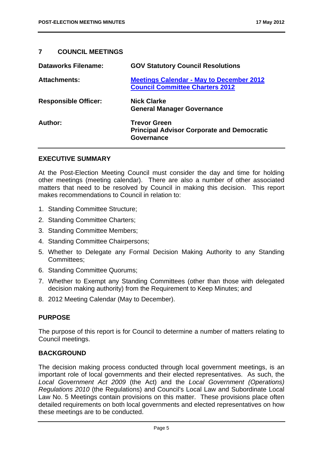# **7 COUNCIL MEETINGS**

| <b>Dataworks Filename:</b>  | <b>GOV Statutory Council Resolutions</b>                                                  |
|-----------------------------|-------------------------------------------------------------------------------------------|
| <b>Attachments:</b>         | <b>Meetings Calendar - May to December 2012</b><br><b>Council Committee Charters 2012</b> |
| <b>Responsible Officer:</b> | <b>Nick Clarke</b><br><b>General Manager Governance</b>                                   |
| Author:                     | <b>Trevor Green</b><br><b>Principal Advisor Corporate and Democratic</b><br>Governance    |

#### **EXECUTIVE SUMMARY**

At the Post-Election Meeting Council must consider the day and time for holding other meetings (meeting calendar). There are also a number of other associated matters that need to be resolved by Council in making this decision. This report makes recommendations to Council in relation to:

- 1. Standing Committee Structure;
- 2. Standing Committee Charters;
- 3. Standing Committee Members;
- 4. Standing Committee Chairpersons;
- 5. Whether to Delegate any Formal Decision Making Authority to any Standing Committees;
- 6. Standing Committee Quorums;
- 7. Whether to Exempt any Standing Committees (other than those with delegated decision making authority) from the Requirement to Keep Minutes; and
- 8. 2012 Meeting Calendar (May to December).

# **PURPOSE**

The purpose of this report is for Council to determine a number of matters relating to Council meetings.

# **BACKGROUND**

The decision making process conducted through local government meetings, is an important role of local governments and their elected representatives. As such, the *Local Government Act 2009* (the Act) and the *Local Government (Operations) Regulations 2010* (the Regulations) and Council's Local Law and Subordinate Local Law No. 5 Meetings contain provisions on this matter. These provisions place often detailed requirements on both local governments and elected representatives on how these meetings are to be conducted.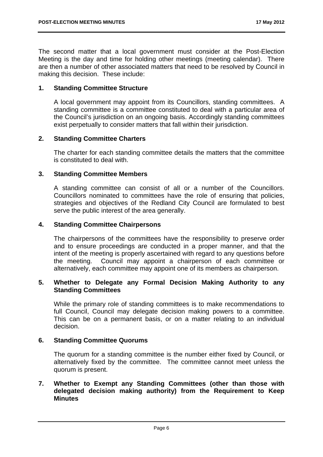The second matter that a local government must consider at the Post-Election Meeting is the day and time for holding other meetings (meeting calendar). There are then a number of other associated matters that need to be resolved by Council in making this decision. These include:

# **1. Standing Committee Structure**

A local government may appoint from its Councillors, standing committees. A standing committee is a committee constituted to deal with a particular area of the Council's jurisdiction on an ongoing basis. Accordingly standing committees exist perpetually to consider matters that fall within their jurisdiction.

# **2. Standing Committee Charters**

The charter for each standing committee details the matters that the committee is constituted to deal with.

# **3. Standing Committee Members**

A standing committee can consist of all or a number of the Councillors. Councillors nominated to committees have the role of ensuring that policies, strategies and objectives of the Redland City Council are formulated to best serve the public interest of the area generally.

# **4. Standing Committee Chairpersons**

The chairpersons of the committees have the responsibility to preserve order and to ensure proceedings are conducted in a proper manner, and that the intent of the meeting is properly ascertained with regard to any questions before the meeting. Council may appoint a chairperson of each committee or alternatively, each committee may appoint one of its members as chairperson.

# **5. Whether to Delegate any Formal Decision Making Authority to any Standing Committees**

While the primary role of standing committees is to make recommendations to full Council, Council may delegate decision making powers to a committee. This can be on a permanent basis, or on a matter relating to an individual decision.

# **6. Standing Committee Quorums**

The quorum for a standing committee is the number either fixed by Council, or alternatively fixed by the committee. The committee cannot meet unless the quorum is present.

# **7. Whether to Exempt any Standing Committees (other than those with delegated decision making authority) from the Requirement to Keep Minutes**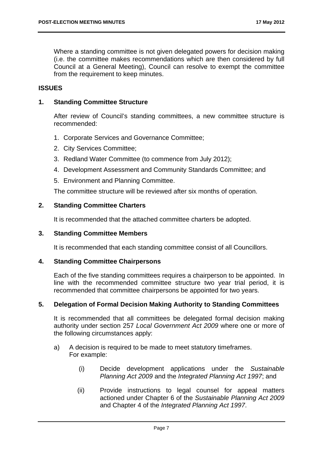Where a standing committee is not given delegated powers for decision making (i.e. the committee makes recommendations which are then considered by full Council at a General Meeting), Council can resolve to exempt the committee from the requirement to keep minutes.

# **ISSUES**

#### **1. Standing Committee Structure**

After review of Council's standing committees, a new committee structure is recommended:

- 1. Corporate Services and Governance Committee;
- 2. City Services Committee;
- 3. Redland Water Committee (to commence from July 2012);
- 4. Development Assessment and Community Standards Committee; and
- 5. Environment and Planning Committee.

The committee structure will be reviewed after six months of operation.

# **2. Standing Committee Charters**

It is recommended that the attached committee charters be adopted.

#### **3. Standing Committee Members**

It is recommended that each standing committee consist of all Councillors.

#### **4. Standing Committee Chairpersons**

Each of the five standing committees requires a chairperson to be appointed. In line with the recommended committee structure two year trial period, it is recommended that committee chairpersons be appointed for two years.

#### **5. Delegation of Formal Decision Making Authority to Standing Committees**

It is recommended that all committees be delegated formal decision making authority under section 257 *Local Government Act 2009* where one or more of the following circumstances apply:

- a) A decision is required to be made to meet statutory timeframes. For example:
	- (i) Decide development applications under the *Sustainable Planning Act 2009* and the *Integrated Planning Act 1997*; and
	- (ii) Provide instructions to legal counsel for appeal matters actioned under Chapter 6 of the *Sustainable Planning Act 2009* and Chapter 4 of the *Integrated Planning Act 1997*.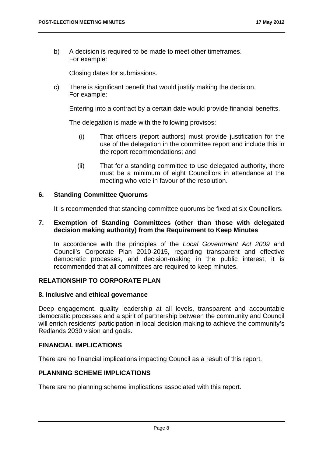b) A decision is required to be made to meet other timeframes. For example:

Closing dates for submissions.

c) There is significant benefit that would justify making the decision. For example:

Entering into a contract by a certain date would provide financial benefits.

The delegation is made with the following provisos:

- (i) That officers (report authors) must provide justification for the use of the delegation in the committee report and include this in the report recommendations; and
- (ii) That for a standing committee to use delegated authority, there must be a minimum of eight Councillors in attendance at the meeting who vote in favour of the resolution.

#### **6. Standing Committee Quorums**

It is recommended that standing committee quorums be fixed at six Councillors.

#### **7. Exemption of Standing Committees (other than those with delegated decision making authority) from the Requirement to Keep Minutes**

In accordance with the principles of the *Local Government Act 2009* and Council's Corporate Plan 2010-2015, regarding transparent and effective democratic processes, and decision-making in the public interest; it is recommended that all committees are required to keep minutes.

#### **RELATIONSHIP TO CORPORATE PLAN**

#### **8. Inclusive and ethical governance**

Deep engagement, quality leadership at all levels, transparent and accountable democratic processes and a spirit of partnership between the community and Council will enrich residents' participation in local decision making to achieve the community's Redlands 2030 vision and goals.

#### **FINANCIAL IMPLICATIONS**

There are no financial implications impacting Council as a result of this report.

# **PLANNING SCHEME IMPLICATIONS**

There are no planning scheme implications associated with this report.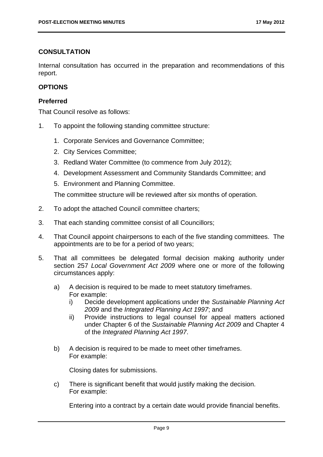# **CONSULTATION**

Internal consultation has occurred in the preparation and recommendations of this report.

# **OPTIONS**

# **Preferred**

That Council resolve as follows:

- 1. To appoint the following standing committee structure:
	- 1. Corporate Services and Governance Committee;
	- 2. City Services Committee;
	- 3. Redland Water Committee (to commence from July 2012);
	- 4. Development Assessment and Community Standards Committee; and
	- 5. Environment and Planning Committee.

The committee structure will be reviewed after six months of operation.

- 2. To adopt the attached Council committee charters;
- 3. That each standing committee consist of all Councillors;
- 4. That Council appoint chairpersons to each of the five standing committees. The appointments are to be for a period of two years;
- 5. That all committees be delegated formal decision making authority under section 257 *Local Government Act 2009* where one or more of the following circumstances apply:
	- a) A decision is required to be made to meet statutory timeframes. For example:
		- i) Decide development applications under the *Sustainable Planning Act 2009* and the *Integrated Planning Act 1997*; and
		- ii) Provide instructions to legal counsel for appeal matters actioned under Chapter 6 of the *Sustainable Planning Act 2009* and Chapter 4 of the *Integrated Planning Act 1997*.
	- b) A decision is required to be made to meet other timeframes. For example:

Closing dates for submissions.

c) There is significant benefit that would justify making the decision. For example:

Entering into a contract by a certain date would provide financial benefits.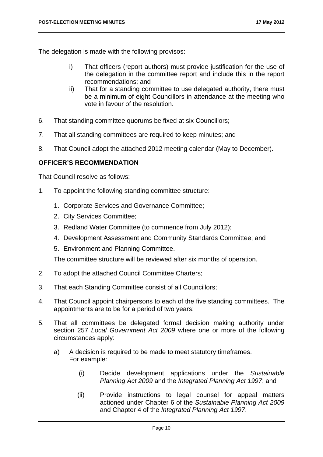The delegation is made with the following provisos:

- i) That officers (report authors) must provide justification for the use of the delegation in the committee report and include this in the report recommendations; and
- ii) That for a standing committee to use delegated authority, there must be a minimum of eight Councillors in attendance at the meeting who vote in favour of the resolution.
- 6. That standing committee quorums be fixed at six Councillors;
- 7. That all standing committees are required to keep minutes; and
- 8. That Council adopt the attached 2012 meeting calendar (May to December).

# **OFFICER'S RECOMMENDATION**

That Council resolve as follows:

- 1. To appoint the following standing committee structure:
	- 1. Corporate Services and Governance Committee;
	- 2. City Services Committee;
	- 3. Redland Water Committee (to commence from July 2012);
	- 4. Development Assessment and Community Standards Committee; and
	- 5. Environment and Planning Committee.

The committee structure will be reviewed after six months of operation.

- 2. To adopt the attached Council Committee Charters;
- 3. That each Standing Committee consist of all Councillors;
- 4. That Council appoint chairpersons to each of the five standing committees. The appointments are to be for a period of two years;
- 5. That all committees be delegated formal decision making authority under section 257 *Local Government Act 2009* where one or more of the following circumstances apply:
	- a) A decision is required to be made to meet statutory timeframes. For example:
		- (i) Decide development applications under the *Sustainable Planning Act 2009* and the *Integrated Planning Act 1997*; and
		- (ii) Provide instructions to legal counsel for appeal matters actioned under Chapter 6 of the *Sustainable Planning Act 2009* and Chapter 4 of the *Integrated Planning Act 1997*.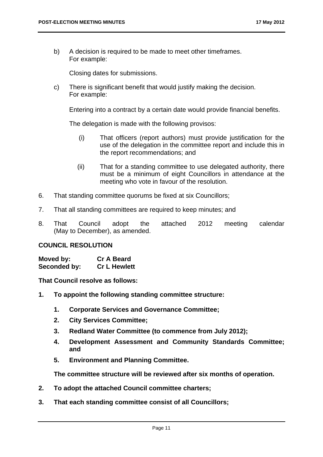b) A decision is required to be made to meet other timeframes. For example:

Closing dates for submissions.

c) There is significant benefit that would justify making the decision. For example:

Entering into a contract by a certain date would provide financial benefits.

The delegation is made with the following provisos:

- (i) That officers (report authors) must provide justification for the use of the delegation in the committee report and include this in the report recommendations; and
- (ii) That for a standing committee to use delegated authority, there must be a minimum of eight Councillors in attendance at the meeting who vote in favour of the resolution.
- 6. That standing committee quorums be fixed at six Councillors;
- 7. That all standing committees are required to keep minutes; and
- 8. That Council adopt the attached 2012 meeting calendar (May to December), as amended.

#### **COUNCIL RESOLUTION**

**Moved by: Cr A Beard Seconded by: Cr L Hewlett** 

**That Council resolve as follows:** 

- **1. To appoint the following standing committee structure:** 
	- **1. Corporate Services and Governance Committee;**
	- **2. City Services Committee;**
	- **3. Redland Water Committee (to commence from July 2012);**
	- **4. Development Assessment and Community Standards Committee; and**
	- **5. Environment and Planning Committee.**

**The committee structure will be reviewed after six months of operation.** 

- **2. To adopt the attached Council committee charters;**
- **3. That each standing committee consist of all Councillors;**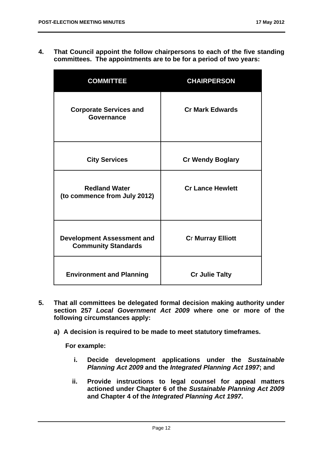**4. That Council appoint the follow chairpersons to each of the five standing committees. The appointments are to be for a period of two years:** 

| <b>COMMITTEE</b>                                                | <b>CHAIRPERSON</b>       |
|-----------------------------------------------------------------|--------------------------|
| <b>Corporate Services and</b><br>Governance                     | <b>Cr Mark Edwards</b>   |
| <b>City Services</b>                                            | <b>Cr Wendy Boglary</b>  |
| <b>Redland Water</b><br>(to commence from July 2012)            | <b>Cr Lance Hewlett</b>  |
| <b>Development Assessment and</b><br><b>Community Standards</b> | <b>Cr Murray Elliott</b> |
| <b>Environment and Planning</b>                                 | <b>Cr Julie Talty</b>    |

- **5. That all committees be delegated formal decision making authority under section 257** *Local Government Act 2009* **where one or more of the following circumstances apply:** 
	- **a) A decision is required to be made to meet statutory timeframes.**

**For example:** 

- **i. Decide development applications under the** *Sustainable Planning Act 2009* **and the** *Integrated Planning Act 1997***; and**
- **ii. Provide instructions to legal counsel for appeal matters actioned under Chapter 6 of the** *Sustainable Planning Act 2009* **and Chapter 4 of the** *Integrated Planning Act 1997***.**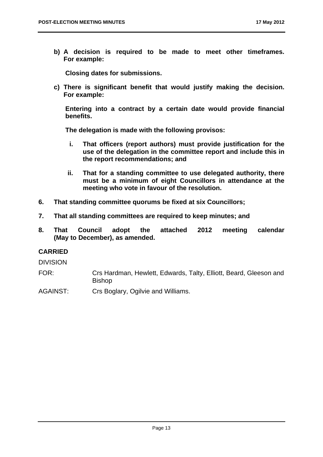**b) A decision is required to be made to meet other timeframes. For example:** 

**Closing dates for submissions.** 

**c) There is significant benefit that would justify making the decision. For example:** 

**Entering into a contract by a certain date would provide financial benefits.** 

**The delegation is made with the following provisos:** 

- **i. That officers (report authors) must provide justification for the use of the delegation in the committee report and include this in the report recommendations; and**
- **ii. That for a standing committee to use delegated authority, there must be a minimum of eight Councillors in attendance at the meeting who vote in favour of the resolution.**
- **6. That standing committee quorums be fixed at six Councillors;**
- **7. That all standing committees are required to keep minutes; and**
- **8. That Council adopt the attached 2012 meeting calendar (May to December), as amended.**

# **CARRIED**

DIVISION

- FOR: Crs Hardman, Hewlett, Edwards, Talty, Elliott, Beard, Gleeson and Bishop
- AGAINST: Crs Boglary, Ogilvie and Williams.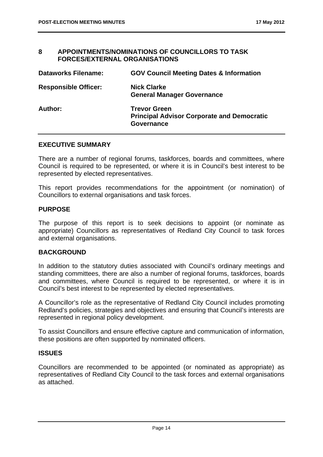#### **8 APPOINTMENTS/NOMINATIONS OF COUNCILLORS TO TASK FORCES/EXTERNAL ORGANISATIONS**

| <b>Dataworks Filename:</b>  | <b>GOV Council Meeting Dates &amp; Information</b>                                            |
|-----------------------------|-----------------------------------------------------------------------------------------------|
| <b>Responsible Officer:</b> | <b>Nick Clarke</b><br><b>General Manager Governance</b>                                       |
| Author:                     | <b>Trevor Green</b><br><b>Principal Advisor Corporate and Democratic</b><br><b>Governance</b> |

#### **EXECUTIVE SUMMARY**

There are a number of regional forums, taskforces, boards and committees, where Council is required to be represented, or where it is in Council's best interest to be represented by elected representatives.

This report provides recommendations for the appointment (or nomination) of Councillors to external organisations and task forces.

#### **PURPOSE**

The purpose of this report is to seek decisions to appoint (or nominate as appropriate) Councillors as representatives of Redland City Council to task forces and external organisations.

#### **BACKGROUND**

In addition to the statutory duties associated with Council's ordinary meetings and standing committees, there are also a number of regional forums, taskforces, boards and committees, where Council is required to be represented, or where it is in Council's best interest to be represented by elected representatives.

A Councillor's role as the representative of Redland City Council includes promoting Redland's policies, strategies and objectives and ensuring that Council's interests are represented in regional policy development.

To assist Councillors and ensure effective capture and communication of information, these positions are often supported by nominated officers.

#### **ISSUES**

Councillors are recommended to be appointed (or nominated as appropriate) as representatives of Redland City Council to the task forces and external organisations as attached.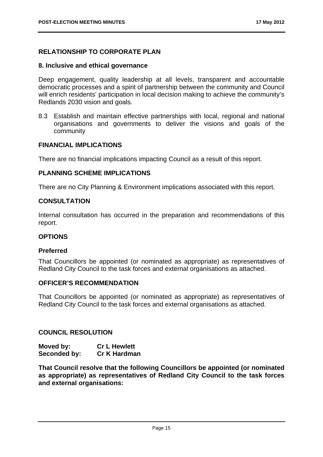# **RELATIONSHIP TO CORPORATE PLAN**

#### **8. Inclusive and ethical governance**

Deep engagement, quality leadership at all levels, transparent and accountable democratic processes and a spirit of partnership between the community and Council will enrich residents' participation in local decision making to achieve the community's Redlands 2030 vision and goals.

8.3 Establish and maintain effective partnerships with local, regional and national organisations and governments to deliver the visions and goals of the community

#### **FINANCIAL IMPLICATIONS**

There are no financial implications impacting Council as a result of this report.

#### **PLANNING SCHEME IMPLICATIONS**

There are no City Planning & Environment implications associated with this report.

# **CONSULTATION**

Internal consultation has occurred in the preparation and recommendations of this report.

#### **OPTIONS**

#### **Preferred**

That Councillors be appointed (or nominated as appropriate) as representatives of Redland City Council to the task forces and external organisations as attached.

#### **OFFICER'S RECOMMENDATION**

That Councillors be appointed (or nominated as appropriate) as representatives of Redland City Council to the task forces and external organisations as attached.

# **COUNCIL RESOLUTION**

| Moved by:    | <b>Cr L Hewlett</b> |
|--------------|---------------------|
| Seconded by: | <b>Cr K Hardman</b> |

**That Council resolve that the following Councillors be appointed (or nominated as appropriate) as representatives of Redland City Council to the task forces and external organisations:**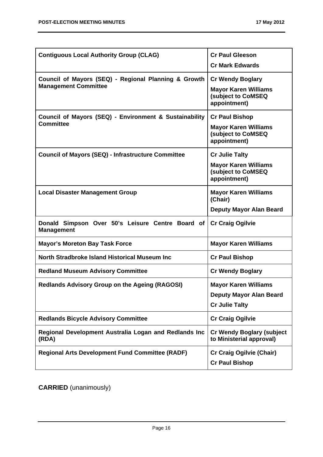| <b>Contiguous Local Authority Group (CLAG)</b>                                      | <b>Cr Paul Gleeson</b><br><b>Cr Mark Edwards</b>                                             |
|-------------------------------------------------------------------------------------|----------------------------------------------------------------------------------------------|
| Council of Mayors (SEQ) - Regional Planning & Growth<br><b>Management Committee</b> | <b>Cr Wendy Boglary</b><br><b>Mayor Karen Williams</b><br>(subject to CoMSEQ<br>appointment) |
| Council of Mayors (SEQ) - Environment & Sustainability<br><b>Committee</b>          | <b>Cr Paul Bishop</b><br><b>Mayor Karen Williams</b><br>(subject to CoMSEQ<br>appointment)   |
| <b>Council of Mayors (SEQ) - Infrastructure Committee</b>                           | <b>Cr Julie Talty</b><br><b>Mayor Karen Williams</b><br>(subject to CoMSEQ<br>appointment)   |
| <b>Local Disaster Management Group</b>                                              | <b>Mayor Karen Williams</b><br>(Chair)<br><b>Deputy Mayor Alan Beard</b>                     |
| Donald Simpson Over 50's Leisure Centre Board of<br><b>Management</b>               | <b>Cr Craig Ogilvie</b>                                                                      |
| <b>Mayor's Moreton Bay Task Force</b>                                               | <b>Mayor Karen Williams</b>                                                                  |
| North Stradbroke Island Historical Museum Inc                                       | <b>Cr Paul Bishop</b>                                                                        |
| <b>Redland Museum Advisory Committee</b>                                            | <b>Cr Wendy Boglary</b>                                                                      |
| <b>Redlands Advisory Group on the Ageing (RAGOSI)</b>                               | <b>Mayor Karen Williams</b><br><b>Deputy Mayor Alan Beard</b><br><b>Cr Julie Talty</b>       |
| <b>Redlands Bicycle Advisory Committee</b>                                          | <b>Cr Craig Ogilvie</b>                                                                      |
| Regional Development Australia Logan and Redlands Inc<br>(RDA)                      | <b>Cr Wendy Boglary (subject</b><br>to Ministerial approval)                                 |
| <b>Regional Arts Development Fund Committee (RADF)</b>                              | <b>Cr Craig Ogilvie (Chair)</b><br><b>Cr Paul Bishop</b>                                     |

**CARRIED** (unanimously)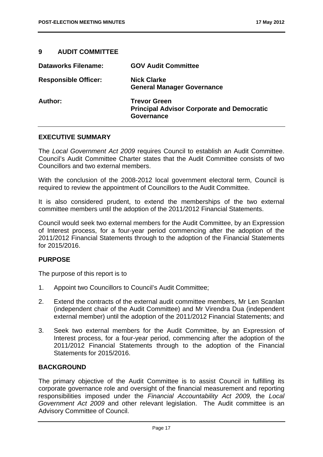# **9 AUDIT COMMITTEE**

| <b>Dataworks Filename:</b>  | <b>GOV Audit Committee</b>                                                             |
|-----------------------------|----------------------------------------------------------------------------------------|
| <b>Responsible Officer:</b> | <b>Nick Clarke</b><br><b>General Manager Governance</b>                                |
| Author:                     | <b>Trevor Green</b><br><b>Principal Advisor Corporate and Democratic</b><br>Governance |

#### **EXECUTIVE SUMMARY**

The *Local Government Act 2009* requires Council to establish an Audit Committee. Council's Audit Committee Charter states that the Audit Committee consists of two Councillors and two external members.

With the conclusion of the 2008-2012 local government electoral term, Council is required to review the appointment of Councillors to the Audit Committee.

It is also considered prudent, to extend the memberships of the two external committee members until the adoption of the 2011/2012 Financial Statements.

Council would seek two external members for the Audit Committee, by an Expression of Interest process, for a four-year period commencing after the adoption of the 2011/2012 Financial Statements through to the adoption of the Financial Statements for 2015/2016.

#### **PURPOSE**

The purpose of this report is to

- 1. Appoint two Councillors to Council's Audit Committee;
- 2. Extend the contracts of the external audit committee members, Mr Len Scanlan (independent chair of the Audit Committee) and Mr Virendra Dua (independent external member) until the adoption of the 2011/2012 Financial Statements; and
- 3. Seek two external members for the Audit Committee, by an Expression of Interest process, for a four-year period, commencing after the adoption of the 2011/2012 Financial Statements through to the adoption of the Financial Statements for 2015/2016.

#### **BACKGROUND**

The primary objective of the Audit Committee is to assist Council in fulfilling its corporate governance role and oversight of the financial measurement and reporting responsibilities imposed under the *Financial Accountability Act 2009,* the *Local Government Act 2009* and other relevant legislation. The Audit committee is an Advisory Committee of Council.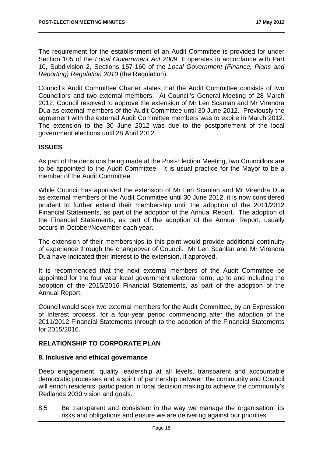The requirement for the establishment of an Audit Committee is provided for under Section 105 of the *Local Government Act 2009*. It operates in accordance with Part 10, Subdivision 2, Sections 157-160 of the *Local Government (Finance, Plans and Reporting) Regulation 2010* (the Regulation)*.*

Council's Audit Committee Charter states that the Audit Committee consists of two Councillors and two external members. At Council's General Meeting of 28 March 2012, Council resolved to approve the extension of Mr Len Scanlan and Mr Virendra Dua as external members of the Audit Committee until 30 June 2012. Previously the agreement with the external Audit Committee members was to expire in March 2012. The extension to the 30 June 2012 was due to the postponement of the local government elections until 28 April 2012.

# **ISSUES**

As part of the decisions being made at the Post-Election Meeting, two Councillors are to be appointed to the Audit Committee. It is usual practice for the Mayor to be a member of the Audit Committee.

While Council has approved the extension of Mr Len Scanlan and Mr Virendra Dua as external members of the Audit Committee until 30 June 2012, it is now considered prudent to further extend their membership until the adoption of the 2011/2012 Financial Statements, as part of the adoption of the Annual Report. The adoption of the Financial Statements, as part of the adoption of the Annual Report, usually occurs in October/November each year.

The extension of their memberships to this point would provide additional continuity of experience through the changeover of Council. Mr Len Scanlan and Mr Virendra Dua have indicated their interest to the extension, if approved.

It is recommended that the next external members of the Audit Committee be appointed for the four year local government electoral term, up to and including the adoption of the 2015/2016 Financial Statements, as part of the adoption of the Annual Report.

Council would seek two external members for the Audit Committee, by an Expression of Interest process, for a four-year period commencing after the adoption of the 2011/2012 Financial Statements through to the adoption of the Financial Statements for 2015/2016.

# **RELATIONSHIP TO CORPORATE PLAN**

# **8. Inclusive and ethical governance**

Deep engagement, quality leadership at all levels, transparent and accountable democratic processes and a spirit of partnership between the community and Council will enrich residents' participation in local decision making to achieve the community's Redlands 2030 vision and goals.

8.5 Be transparent and consistent in the way we manage the organisation, its risks and obligations and ensure we are delivering against our priorities.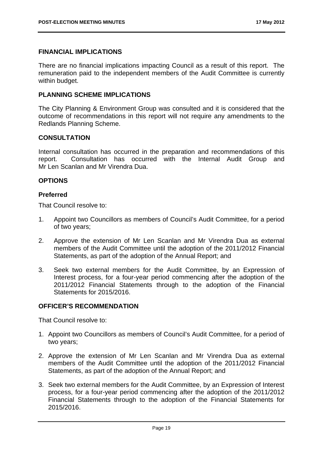#### **FINANCIAL IMPLICATIONS**

There are no financial implications impacting Council as a result of this report. The remuneration paid to the independent members of the Audit Committee is currently within budget.

# **PLANNING SCHEME IMPLICATIONS**

The City Planning & Environment Group was consulted and it is considered that the outcome of recommendations in this report will not require any amendments to the Redlands Planning Scheme.

#### **CONSULTATION**

Internal consultation has occurred in the preparation and recommendations of this report. Consultation has occurred with the Internal Audit Group and Mr Len Scanlan and Mr Virendra Dua.

#### **OPTIONS**

#### **Preferred**

That Council resolve to:

- 1. Appoint two Councillors as members of Council's Audit Committee, for a period of two years;
- 2. Approve the extension of Mr Len Scanlan and Mr Virendra Dua as external members of the Audit Committee until the adoption of the 2011/2012 Financial Statements, as part of the adoption of the Annual Report; and
- 3. Seek two external members for the Audit Committee, by an Expression of Interest process, for a four-year period commencing after the adoption of the 2011/2012 Financial Statements through to the adoption of the Financial Statements for 2015/2016.

#### **OFFICER'S RECOMMENDATION**

That Council resolve to:

- 1. Appoint two Councillors as members of Council's Audit Committee, for a period of two years;
- 2. Approve the extension of Mr Len Scanlan and Mr Virendra Dua as external members of the Audit Committee until the adoption of the 2011/2012 Financial Statements, as part of the adoption of the Annual Report; and
- 3. Seek two external members for the Audit Committee, by an Expression of Interest process, for a four-year period commencing after the adoption of the 2011/2012 Financial Statements through to the adoption of the Financial Statements for 2015/2016.